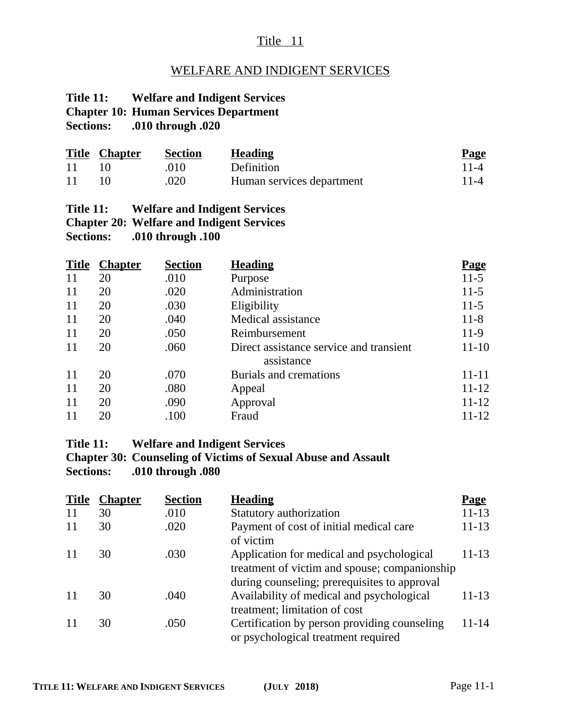## Title 11

### WELFARE AND INDIGENT SERVICES

# **Title 11: Welfare and Indigent Services Chapter 10: Human Services Department**

**Sections: .010 through .020**

|     | <b>Title Chapter</b> | Section | <b>Heading</b>            | <b>Page</b> |
|-----|----------------------|---------|---------------------------|-------------|
| -11 |                      | .010    | Definition                | $11-4$      |
| -11 |                      | .020    | Human services department | $11 - 4$    |

#### **Title 11: Welfare and Indigent Services Chapter 20: Welfare and Indigent Services Sections: .010 through .100**

|    | <b>Title Chapter</b> | <b>Section</b> | <b>Heading</b>                          | <b>Page</b> |
|----|----------------------|----------------|-----------------------------------------|-------------|
| 11 | 20                   | .010           | Purpose                                 | $11-5$      |
| 11 | 20                   | .020           | Administration                          | $11-5$      |
| 11 | 20                   | .030           | Eligibility                             | $11-5$      |
| 11 | 20                   | .040           | Medical assistance                      | $11 - 8$    |
| 11 | 20                   | .050           | Reimbursement                           | $11-9$      |
| 11 | 20                   | .060           | Direct assistance service and transient | 11-10       |
|    |                      |                | assistance                              |             |
| 11 | 20                   | .070           | Burials and cremations                  | 11-11       |
| 11 | 20                   | .080           | Appeal                                  | $11 - 12$   |
| 11 | 20                   | .090           | Approval                                | $11 - 12$   |
| 11 | 20                   | .100           | Fraud                                   | 11-12       |

#### **Title 11: Welfare and Indigent Services**

**Chapter 30: Counseling of Victims of Sexual Abuse and Assault Sections: .010 through .080**

| <b>Title</b> | <b>Chapter</b> | <b>Section</b> | <b>Heading</b>                                                                                                                             | <u>Page</u> |
|--------------|----------------|----------------|--------------------------------------------------------------------------------------------------------------------------------------------|-------------|
|              | 30             | .010           | Statutory authorization                                                                                                                    | $11 - 13$   |
| 11           | 30             | .020           | Payment of cost of initial medical care<br>of victim                                                                                       | $11 - 13$   |
|              | 30             | .030           | Application for medical and psychological<br>treatment of victim and spouse; companionship<br>during counseling; prerequisites to approval | 11-13       |
|              | 30             | .040           | Availability of medical and psychological<br>treatment; limitation of cost                                                                 | 11-13       |
|              | 30             | .050           | Certification by person providing counseling<br>or psychological treatment required                                                        | $11 - 14$   |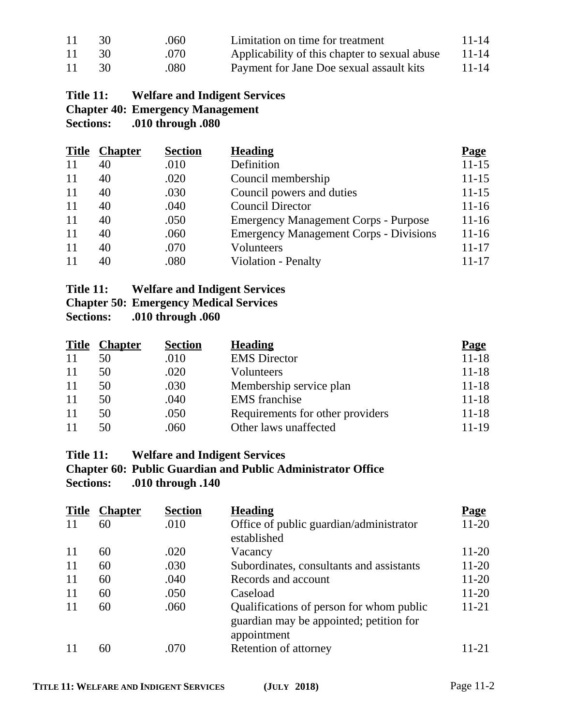| 11 | 30 | .060 | Limitation on time for treatment              | $11 - 14$ |
|----|----|------|-----------------------------------------------|-----------|
| 11 | 30 | .070 | Applicability of this chapter to sexual abuse | 11-14     |
| 11 | 30 | .080 | Payment for Jane Doe sexual assault kits      | $11 - 14$ |

## **Title 11: Welfare and Indigent Services Chapter 40: Emergency Management**<br>Sections: .010 through .080 **Sections: .010 through .080**

| <b>Title</b> | <u>Chapter</u> | <b>Section</b> | <b>Heading</b>                                | <b>Page</b> |
|--------------|----------------|----------------|-----------------------------------------------|-------------|
| 11           | 40             | .010           | Definition                                    | $11 - 15$   |
| 11           | 40             | .020           | Council membership                            | $11 - 15$   |
| 11           | 40             | .030           | Council powers and duties                     | $11 - 15$   |
| 11           | 40             | .040           | <b>Council Director</b>                       | $11 - 16$   |
| 11           | 40             | .050           | <b>Emergency Management Corps - Purpose</b>   | $11 - 16$   |
| 11           | 40             | .060           | <b>Emergency Management Corps - Divisions</b> | $11 - 16$   |
| 11           | 40             | .070           | Volunteers                                    | $11 - 17$   |
| 11           | 40             | .080           | <b>Violation - Penalty</b>                    | 11-17       |

| Title 11: | <b>Welfare and Indigent Services</b>          |
|-----------|-----------------------------------------------|
|           | <b>Chapter 50: Emergency Medical Services</b> |

**Sections: .010 through .060**

| <b>Title</b> | <b>Chapter</b> | <b>Section</b> | <b>Heading</b>                   | <b>Page</b> |
|--------------|----------------|----------------|----------------------------------|-------------|
| 11           | 50             | .010           | <b>EMS</b> Director              | $11 - 18$   |
| 11           | 50             | .020           | Volunteers                       | $11 - 18$   |
| 11           | 50             | .030           | Membership service plan          | $11 - 18$   |
| 11           | 50             | .040           | <b>EMS</b> franchise             | $11 - 18$   |
| 11           | 50             | .050           | Requirements for other providers | $11 - 18$   |
| 11           | 50             | .060           | Other laws unaffected            | 11-19       |

## **Title 11: Welfare and Indigent Services**

**Chapter 60: Public Guardian and Public Administrator Office Sections: .010 through .140**

| <b>Title</b> | <b>Chapter</b> | <b>Section</b> | <b>Heading</b>                                                                                     | <b>Page</b> |
|--------------|----------------|----------------|----------------------------------------------------------------------------------------------------|-------------|
| 11           | 60             | .010           | Office of public guardian/administrator<br>established                                             | $11 - 20$   |
| 11           | 60             | .020           | Vacancy                                                                                            | 11-20       |
| 11           | 60             | .030           | Subordinates, consultants and assistants                                                           | $11-20$     |
| 11           | 60             | .040           | Records and account                                                                                | 11-20       |
| 11           | 60             | .050           | Caseload                                                                                           | $11 - 20$   |
| 11           | 60             | .060           | Qualifications of person for whom public<br>guardian may be appointed; petition for<br>appointment | $11 - 21$   |
|              | 60             | .070           | Retention of attorney                                                                              | 11-21       |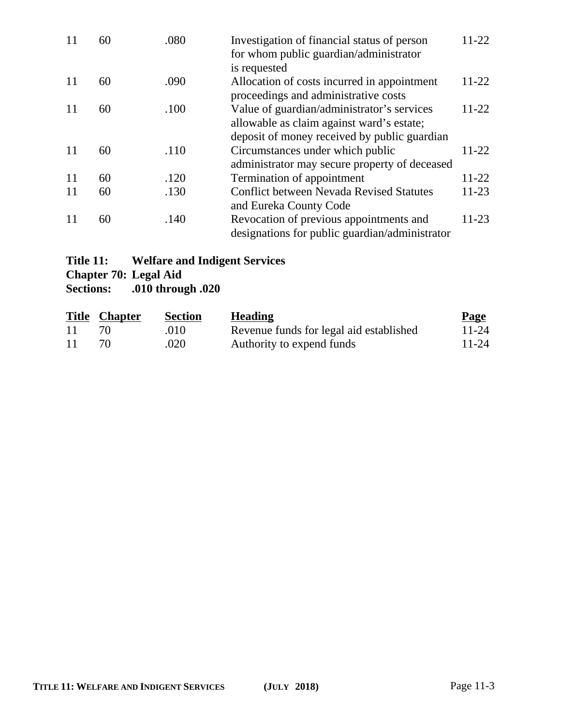| 11 | 60 | .080 | Investigation of financial status of person<br>for whom public guardian/administrator | 11-22     |
|----|----|------|---------------------------------------------------------------------------------------|-----------|
|    |    |      | is requested                                                                          | $11-22$   |
| 11 | 60 | .090 | Allocation of costs incurred in appointment<br>proceedings and administrative costs   |           |
| 11 | 60 | .100 | Value of guardian/administrator's services                                            | $11 - 22$ |
|    |    |      | allowable as claim against ward's estate;                                             |           |
|    |    |      | deposit of money received by public guardian                                          |           |
| 11 | 60 | .110 | Circumstances under which public                                                      | $11-22$   |
|    |    |      | administrator may secure property of deceased                                         |           |
| 11 | 60 | .120 | Termination of appointment                                                            | $11-22$   |
| 11 | 60 | .130 | <b>Conflict between Nevada Revised Statutes</b>                                       | $11-23$   |
|    |    |      | and Eureka County Code                                                                |           |
| 11 | 60 | .140 | Revocation of previous appointments and                                               | $11-23$   |
|    |    |      | designations for public guardian/administrator                                        |           |

# **Title 11: Welfare and Indigent Services**

**Chapter 70: Legal Aid<br>Sections: 010 throughtlengle** 

**Sections: .010 through .020**

|     | <b>Title Chapter</b> | <b>Section</b> | <b>Heading</b>                          | <b>Page</b> |
|-----|----------------------|----------------|-----------------------------------------|-------------|
| -11 |                      | .010           | Revenue funds for legal aid established | 11-24       |
| -11 |                      | .020           | Authority to expend funds               | $11 - 24$   |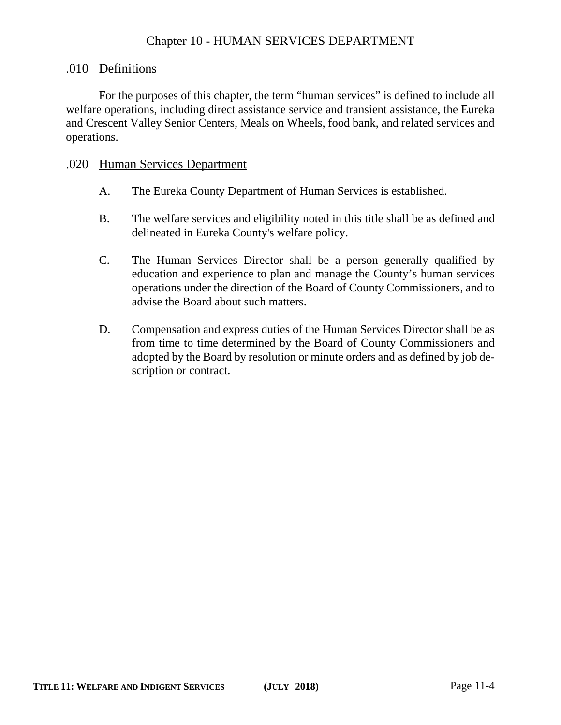## Chapter 10 - HUMAN SERVICES DEPARTMENT

#### .010 Definitions

For the purposes of this chapter, the term "human services" is defined to include all welfare operations, including direct assistance service and transient assistance, the Eureka and Crescent Valley Senior Centers, Meals on Wheels, food bank, and related services and operations.

#### .020 Human Services Department

- A. The Eureka County Department of Human Services is established.
- B. The welfare services and eligibility noted in this title shall be as defined and delineated in Eureka County's welfare policy.
- C. The Human Services Director shall be a person generally qualified by education and experience to plan and manage the County's human services operations under the direction of the Board of County Commissioners, and to advise the Board about such matters.
- D. Compensation and express duties of the Human Services Director shall be as from time to time determined by the Board of County Commissioners and adopted by the Board by resolution or minute orders and as defined by job description or contract.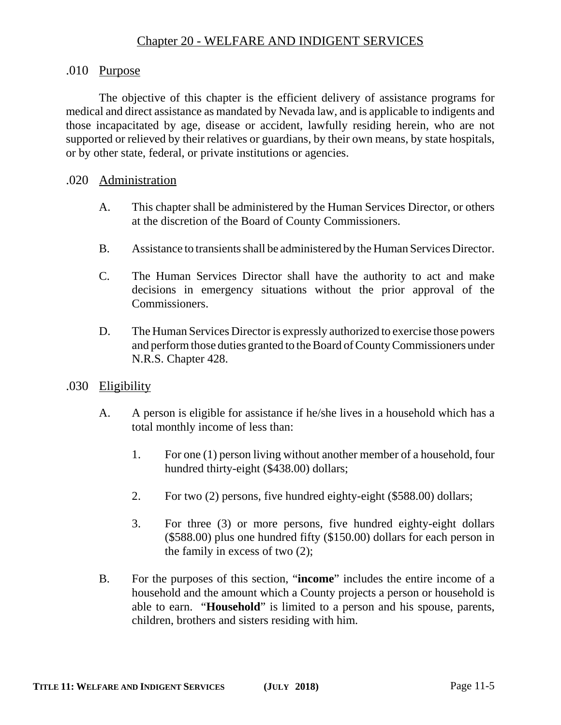## .010 Purpose

The objective of this chapter is the efficient delivery of assistance programs for medical and direct assistance as mandated by Nevada law, and is applicable to indigents and those incapacitated by age, disease or accident, lawfully residing herein, who are not supported or relieved by their relatives or guardians, by their own means, by state hospitals, or by other state, federal, or private institutions or agencies.

## .020 Administration

- A. This chapter shall be administered by the Human Services Director, or others at the discretion of the Board of County Commissioners.
- B. Assistance to transients shall be administered by the Human Services Director.
- C. The Human Services Director shall have the authority to act and make decisions in emergency situations without the prior approval of the Commissioners.
- D. The Human Services Director is expressly authorized to exercise those powers and perform those duties granted to the Board of County Commissioners under N.R.S. Chapter 428.

## .030 Eligibility

- A. A person is eligible for assistance if he/she lives in a household which has a total monthly income of less than:
	- 1. For one (1) person living without another member of a household, four hundred thirty-eight (\$438.00) dollars;
	- 2. For two (2) persons, five hundred eighty-eight (\$588.00) dollars;
	- 3. For three (3) or more persons, five hundred eighty-eight dollars (\$588.00) plus one hundred fifty (\$150.00) dollars for each person in the family in excess of two (2);
- B. For the purposes of this section, "**income**" includes the entire income of a household and the amount which a County projects a person or household is able to earn. "**Household**" is limited to a person and his spouse, parents, children, brothers and sisters residing with him.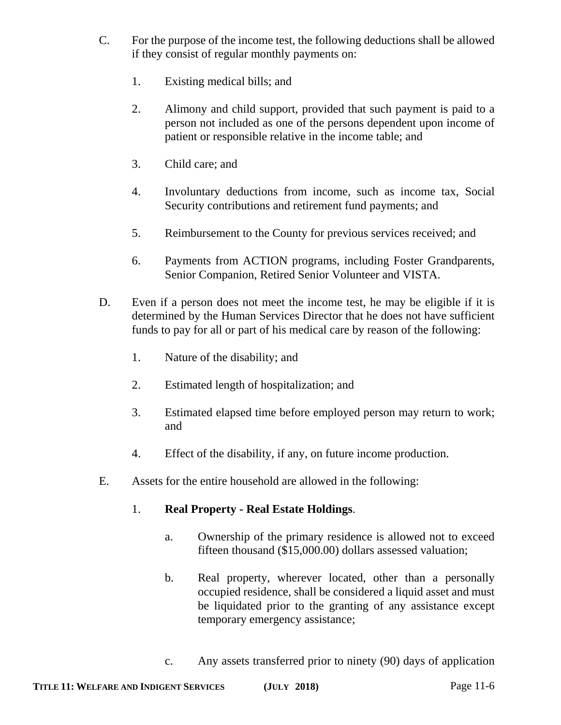- C. For the purpose of the income test, the following deductions shall be allowed if they consist of regular monthly payments on:
	- 1. Existing medical bills; and
	- 2. Alimony and child support, provided that such payment is paid to a person not included as one of the persons dependent upon income of patient or responsible relative in the income table; and
	- 3. Child care; and
	- 4. Involuntary deductions from income, such as income tax, Social Security contributions and retirement fund payments; and
	- 5. Reimbursement to the County for previous services received; and
	- 6. Payments from ACTION programs, including Foster Grandparents, Senior Companion, Retired Senior Volunteer and VISTA.
- D. Even if a person does not meet the income test, he may be eligible if it is determined by the Human Services Director that he does not have sufficient funds to pay for all or part of his medical care by reason of the following:
	- 1. Nature of the disability; and
	- 2. Estimated length of hospitalization; and
	- 3. Estimated elapsed time before employed person may return to work; and
	- 4. Effect of the disability, if any, on future income production.
- E. Assets for the entire household are allowed in the following:

## 1. **Real Property - Real Estate Holdings**.

- a. Ownership of the primary residence is allowed not to exceed fifteen thousand (\$15,000.00) dollars assessed valuation;
- b. Real property, wherever located, other than a personally occupied residence, shall be considered a liquid asset and must be liquidated prior to the granting of any assistance except temporary emergency assistance;
- c. Any assets transferred prior to ninety (90) days of application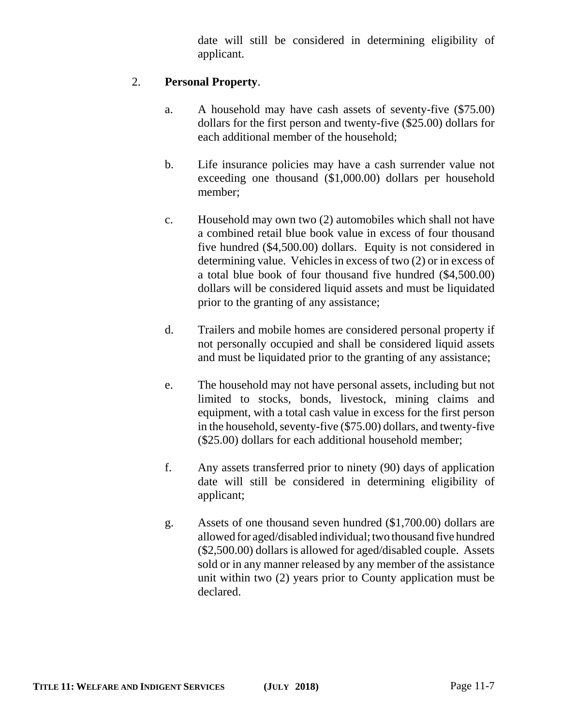date will still be considered in determining eligibility of applicant.

## 2. **Personal Property**.

- a. A household may have cash assets of seventy-five (\$75.00) dollars for the first person and twenty-five (\$25.00) dollars for each additional member of the household;
- b. Life insurance policies may have a cash surrender value not exceeding one thousand (\$1,000.00) dollars per household member;
- c. Household may own two (2) automobiles which shall not have a combined retail blue book value in excess of four thousand five hundred (\$4,500.00) dollars. Equity is not considered in determining value. Vehicles in excess of two (2) or in excess of a total blue book of four thousand five hundred (\$4,500.00) dollars will be considered liquid assets and must be liquidated prior to the granting of any assistance;
- d. Trailers and mobile homes are considered personal property if not personally occupied and shall be considered liquid assets and must be liquidated prior to the granting of any assistance;
- e. The household may not have personal assets, including but not limited to stocks, bonds, livestock, mining claims and equipment, with a total cash value in excess for the first person in the household, seventy-five (\$75.00) dollars, and twenty-five (\$25.00) dollars for each additional household member;
- f. Any assets transferred prior to ninety (90) days of application date will still be considered in determining eligibility of applicant;
- g. Assets of one thousand seven hundred (\$1,700.00) dollars are allowed for aged/disabled individual; two thousand five hundred (\$2,500.00) dollars is allowed for aged/disabled couple. Assets sold or in any manner released by any member of the assistance unit within two (2) years prior to County application must be declared.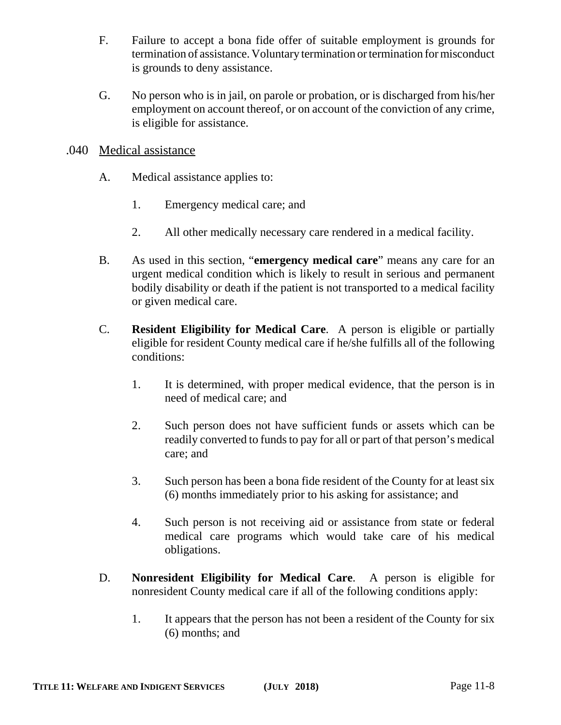- F. Failure to accept a bona fide offer of suitable employment is grounds for termination of assistance. Voluntary termination or termination for misconduct is grounds to deny assistance.
- G. No person who is in jail, on parole or probation, or is discharged from his/her employment on account thereof, or on account of the conviction of any crime, is eligible for assistance.

## .040 Medical assistance

- A. Medical assistance applies to:
	- 1. Emergency medical care; and
	- 2. All other medically necessary care rendered in a medical facility.
- B. As used in this section, "**emergency medical care**" means any care for an urgent medical condition which is likely to result in serious and permanent bodily disability or death if the patient is not transported to a medical facility or given medical care.
- C. **Resident Eligibility for Medical Care**. A person is eligible or partially eligible for resident County medical care if he/she fulfills all of the following conditions:
	- 1. It is determined, with proper medical evidence, that the person is in need of medical care; and
	- 2. Such person does not have sufficient funds or assets which can be readily converted to funds to pay for all or part of that person's medical care; and
	- 3. Such person has been a bona fide resident of the County for at least six (6) months immediately prior to his asking for assistance; and
	- 4. Such person is not receiving aid or assistance from state or federal medical care programs which would take care of his medical obligations.
- D. **Nonresident Eligibility for Medical Care**. A person is eligible for nonresident County medical care if all of the following conditions apply:
	- 1. It appears that the person has not been a resident of the County for six (6) months; and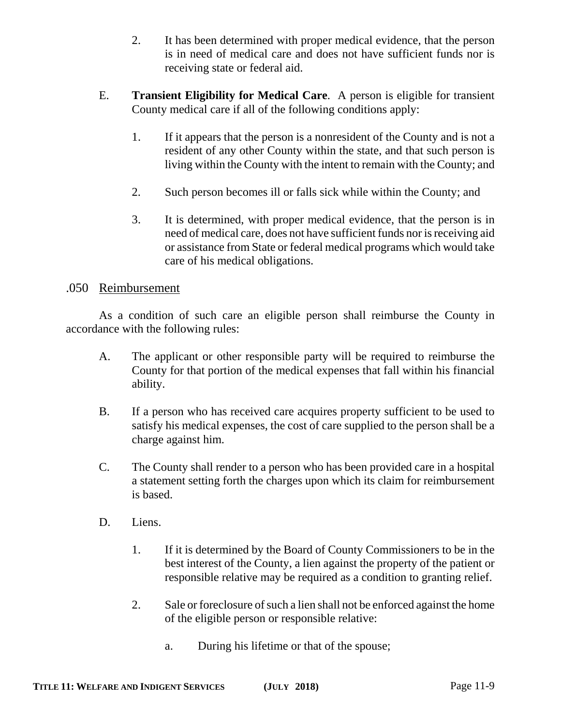- 2. It has been determined with proper medical evidence, that the person is in need of medical care and does not have sufficient funds nor is receiving state or federal aid.
- E. **Transient Eligibility for Medical Care**. A person is eligible for transient County medical care if all of the following conditions apply:
	- 1. If it appears that the person is a nonresident of the County and is not a resident of any other County within the state, and that such person is living within the County with the intent to remain with the County; and
	- 2. Such person becomes ill or falls sick while within the County; and
	- 3. It is determined, with proper medical evidence, that the person is in need of medical care, does not have sufficient funds nor is receiving aid or assistance from State or federal medical programs which would take care of his medical obligations.

### .050 Reimbursement

As a condition of such care an eligible person shall reimburse the County in accordance with the following rules:

- A. The applicant or other responsible party will be required to reimburse the County for that portion of the medical expenses that fall within his financial ability.
- B. If a person who has received care acquires property sufficient to be used to satisfy his medical expenses, the cost of care supplied to the person shall be a charge against him.
- C. The County shall render to a person who has been provided care in a hospital a statement setting forth the charges upon which its claim for reimbursement is based.
- D. Liens.
	- 1. If it is determined by the Board of County Commissioners to be in the best interest of the County, a lien against the property of the patient or responsible relative may be required as a condition to granting relief.
	- 2. Sale or foreclosure of such a lien shall not be enforced against the home of the eligible person or responsible relative:
		- a. During his lifetime or that of the spouse;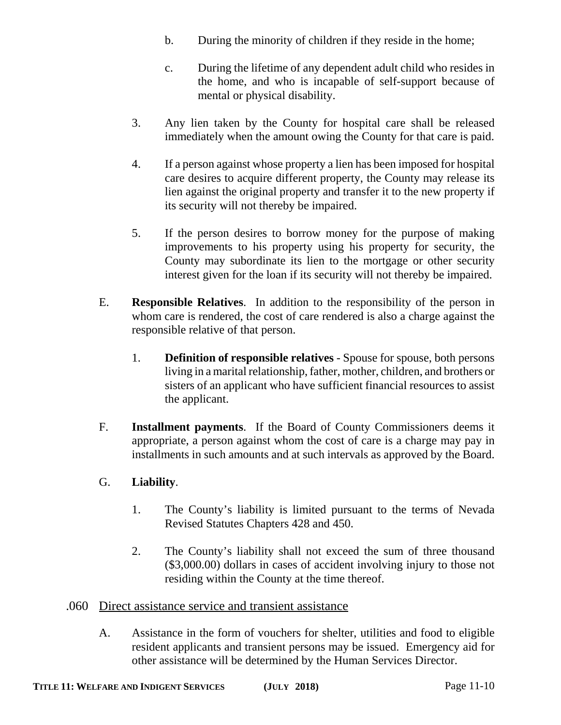- b. During the minority of children if they reside in the home;
- c. During the lifetime of any dependent adult child who resides in the home, and who is incapable of self-support because of mental or physical disability.
- 3. Any lien taken by the County for hospital care shall be released immediately when the amount owing the County for that care is paid.
- 4. If a person against whose property a lien has been imposed for hospital care desires to acquire different property, the County may release its lien against the original property and transfer it to the new property if its security will not thereby be impaired.
- 5. If the person desires to borrow money for the purpose of making improvements to his property using his property for security, the County may subordinate its lien to the mortgage or other security interest given for the loan if its security will not thereby be impaired.
- E. **Responsible Relatives**. In addition to the responsibility of the person in whom care is rendered, the cost of care rendered is also a charge against the responsible relative of that person.
	- 1. **Definition of responsible relatives**  Spouse for spouse, both persons living in a marital relationship, father, mother, children, and brothers or sisters of an applicant who have sufficient financial resources to assist the applicant.
- F. **Installment payments**. If the Board of County Commissioners deems it appropriate, a person against whom the cost of care is a charge may pay in installments in such amounts and at such intervals as approved by the Board.

## G. **Liability**.

- 1. The County's liability is limited pursuant to the terms of Nevada Revised Statutes Chapters 428 and 450.
- 2. The County's liability shall not exceed the sum of three thousand (\$3,000.00) dollars in cases of accident involving injury to those not residing within the County at the time thereof.

## .060 Direct assistance service and transient assistance

A. Assistance in the form of vouchers for shelter, utilities and food to eligible resident applicants and transient persons may be issued. Emergency aid for other assistance will be determined by the Human Services Director.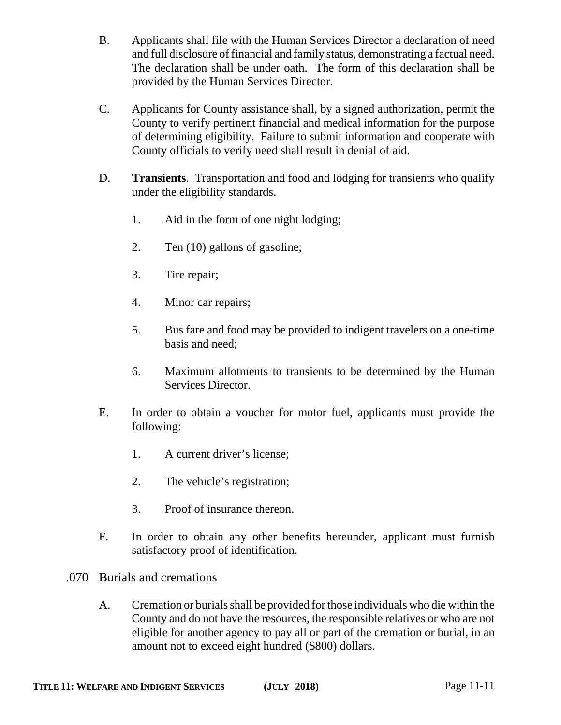- B. Applicants shall file with the Human Services Director a declaration of need and full disclosure of financial and family status, demonstrating a factual need. The declaration shall be under oath. The form of this declaration shall be provided by the Human Services Director.
- C. Applicants for County assistance shall, by a signed authorization, permit the County to verify pertinent financial and medical information for the purpose of determining eligibility. Failure to submit information and cooperate with County officials to verify need shall result in denial of aid.
- D. **Transients**. Transportation and food and lodging for transients who qualify under the eligibility standards.
	- 1. Aid in the form of one night lodging;
	- 2. Ten (10) gallons of gasoline;
	- 3. Tire repair;
	- 4. Minor car repairs;
	- 5. Bus fare and food may be provided to indigent travelers on a one-time basis and need;
	- 6. Maximum allotments to transients to be determined by the Human Services Director.
- E. In order to obtain a voucher for motor fuel, applicants must provide the following:
	- 1. A current driver's license;
	- 2. The vehicle's registration;
	- 3. Proof of insurance thereon.
- F. In order to obtain any other benefits hereunder, applicant must furnish satisfactory proof of identification.

## .070 Burials and cremations

A. Cremation or burials shall be provided for those individuals who die within the County and do not have the resources, the responsible relatives or who are not eligible for another agency to pay all or part of the cremation or burial, in an amount not to exceed eight hundred (\$800) dollars.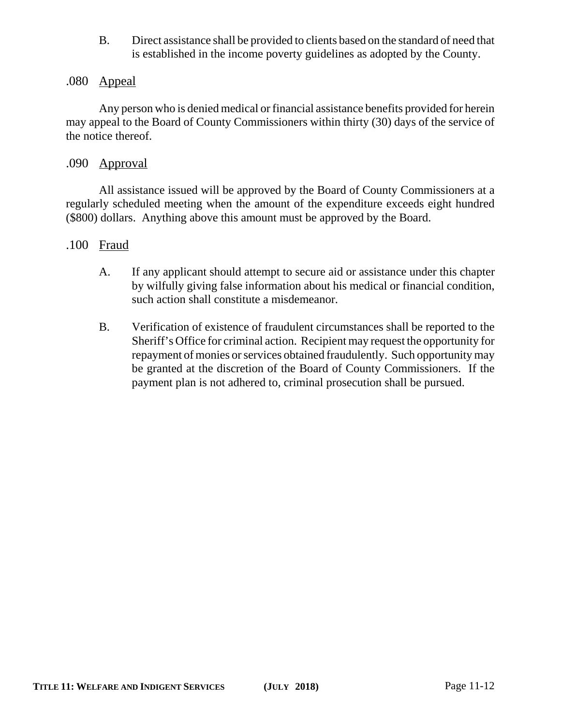B. Direct assistance shall be provided to clients based on the standard of need that is established in the income poverty guidelines as adopted by the County.

### .080 Appeal

Any person who is denied medical or financial assistance benefits provided for herein may appeal to the Board of County Commissioners within thirty (30) days of the service of the notice thereof.

#### .090 Approval

All assistance issued will be approved by the Board of County Commissioners at a regularly scheduled meeting when the amount of the expenditure exceeds eight hundred (\$800) dollars. Anything above this amount must be approved by the Board.

### .100 Fraud

- A. If any applicant should attempt to secure aid or assistance under this chapter by wilfully giving false information about his medical or financial condition, such action shall constitute a misdemeanor.
- B. Verification of existence of fraudulent circumstances shall be reported to the Sheriff's Office for criminal action. Recipient may request the opportunity for repayment of monies or services obtained fraudulently. Such opportunity may be granted at the discretion of the Board of County Commissioners. If the payment plan is not adhered to, criminal prosecution shall be pursued.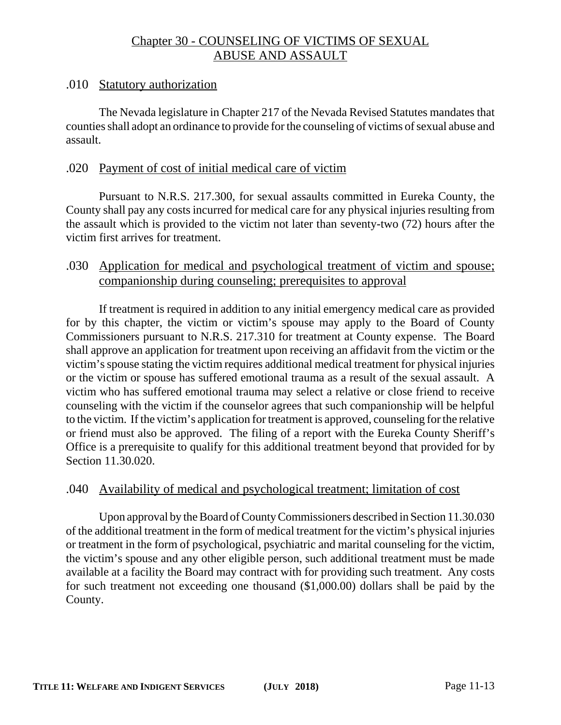## Chapter 30 - COUNSELING OF VICTIMS OF SEXUAL ABUSE AND ASSAULT

### .010 Statutory authorization

The Nevada legislature in Chapter 217 of the Nevada Revised Statutes mandates that counties shall adopt an ordinance to provide for the counseling of victims of sexual abuse and assault.

## .020 Payment of cost of initial medical care of victim

Pursuant to N.R.S. 217.300, for sexual assaults committed in Eureka County, the County shall pay any costs incurred for medical care for any physical injuries resulting from the assault which is provided to the victim not later than seventy-two (72) hours after the victim first arrives for treatment.

## .030 Application for medical and psychological treatment of victim and spouse; companionship during counseling; prerequisites to approval

If treatment is required in addition to any initial emergency medical care as provided for by this chapter, the victim or victim's spouse may apply to the Board of County Commissioners pursuant to N.R.S. 217.310 for treatment at County expense. The Board shall approve an application for treatment upon receiving an affidavit from the victim or the victim's spouse stating the victim requires additional medical treatment for physical injuries or the victim or spouse has suffered emotional trauma as a result of the sexual assault. A victim who has suffered emotional trauma may select a relative or close friend to receive counseling with the victim if the counselor agrees that such companionship will be helpful to the victim. If the victim's application for treatment is approved, counseling for the relative or friend must also be approved. The filing of a report with the Eureka County Sheriff's Office is a prerequisite to qualify for this additional treatment beyond that provided for by Section 11.30.020.

#### .040 Availability of medical and psychological treatment; limitation of cost

Upon approval by the Board of County Commissioners described in Section 11.30.030 of the additional treatment in the form of medical treatment for the victim's physical injuries or treatment in the form of psychological, psychiatric and marital counseling for the victim, the victim's spouse and any other eligible person, such additional treatment must be made available at a facility the Board may contract with for providing such treatment. Any costs for such treatment not exceeding one thousand (\$1,000.00) dollars shall be paid by the County.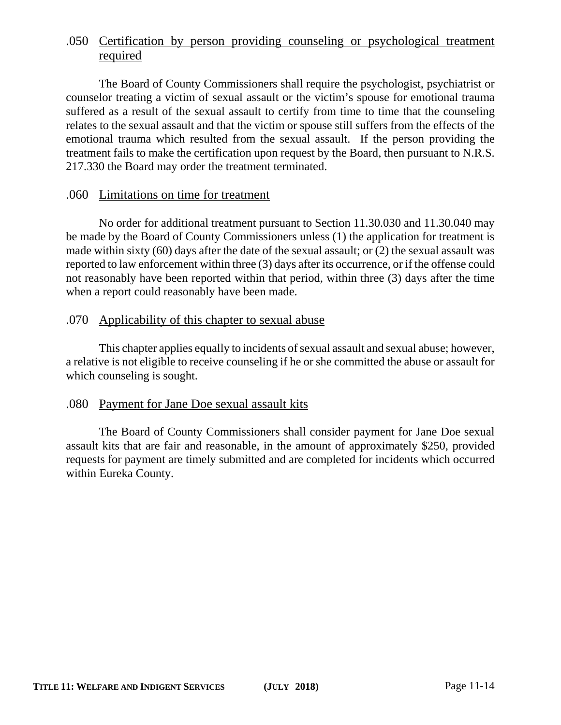## .050 Certification by person providing counseling or psychological treatment required

The Board of County Commissioners shall require the psychologist, psychiatrist or counselor treating a victim of sexual assault or the victim's spouse for emotional trauma suffered as a result of the sexual assault to certify from time to time that the counseling relates to the sexual assault and that the victim or spouse still suffers from the effects of the emotional trauma which resulted from the sexual assault. If the person providing the treatment fails to make the certification upon request by the Board, then pursuant to N.R.S. 217.330 the Board may order the treatment terminated.

### .060 Limitations on time for treatment

No order for additional treatment pursuant to Section 11.30.030 and 11.30.040 may be made by the Board of County Commissioners unless (1) the application for treatment is made within sixty (60) days after the date of the sexual assault; or (2) the sexual assault was reported to law enforcement within three (3) days after its occurrence, or if the offense could not reasonably have been reported within that period, within three (3) days after the time when a report could reasonably have been made.

## .070 Applicability of this chapter to sexual abuse

This chapter applies equally to incidents of sexual assault and sexual abuse; however, a relative is not eligible to receive counseling if he or she committed the abuse or assault for which counseling is sought.

## .080 Payment for Jane Doe sexual assault kits

The Board of County Commissioners shall consider payment for Jane Doe sexual assault kits that are fair and reasonable, in the amount of approximately \$250, provided requests for payment are timely submitted and are completed for incidents which occurred within Eureka County.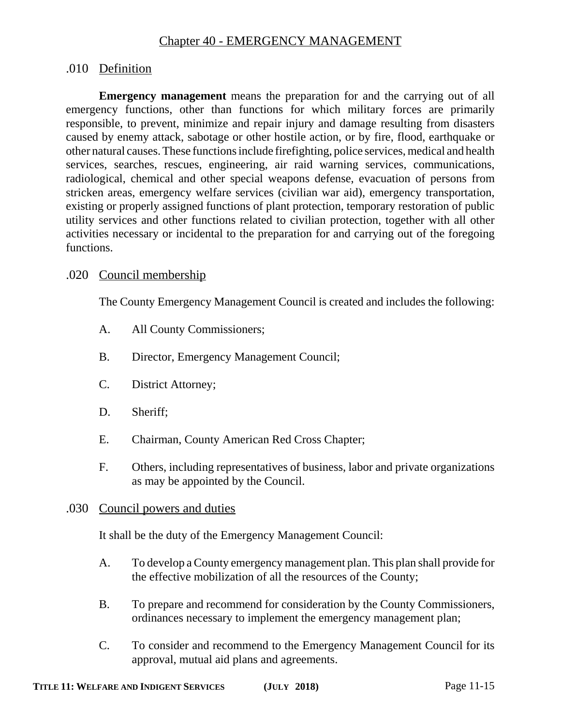## Chapter 40 - EMERGENCY MANAGEMENT

## .010 Definition

**Emergency management** means the preparation for and the carrying out of all emergency functions, other than functions for which military forces are primarily responsible, to prevent, minimize and repair injury and damage resulting from disasters caused by enemy attack, sabotage or other hostile action, or by fire, flood, earthquake or other natural causes. These functions include firefighting, police services, medical and health services, searches, rescues, engineering, air raid warning services, communications, radiological, chemical and other special weapons defense, evacuation of persons from stricken areas, emergency welfare services (civilian war aid), emergency transportation, existing or properly assigned functions of plant protection, temporary restoration of public utility services and other functions related to civilian protection, together with all other activities necessary or incidental to the preparation for and carrying out of the foregoing functions.

#### .020 Council membership

The County Emergency Management Council is created and includes the following:

- A. All County Commissioners;
- B. Director, Emergency Management Council;
- C. District Attorney;
- D. Sheriff;
- E. Chairman, County American Red Cross Chapter;
- F. Others, including representatives of business, labor and private organizations as may be appointed by the Council.

#### .030 Council powers and duties

It shall be the duty of the Emergency Management Council:

- A. To develop a County emergency management plan. This plan shall provide for the effective mobilization of all the resources of the County;
- B. To prepare and recommend for consideration by the County Commissioners, ordinances necessary to implement the emergency management plan;
- C. To consider and recommend to the Emergency Management Council for its approval, mutual aid plans and agreements.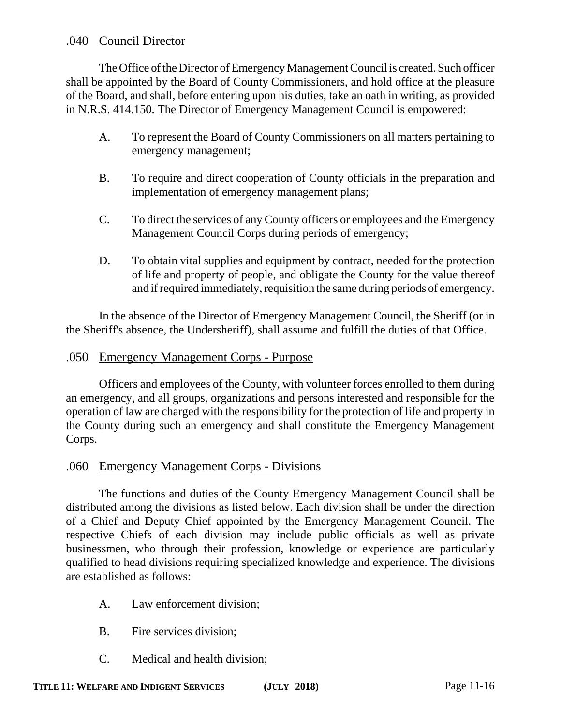## .040 Council Director

The Office of the Director of Emergency Management Council is created. Such officer shall be appointed by the Board of County Commissioners, and hold office at the pleasure of the Board, and shall, before entering upon his duties, take an oath in writing, as provided in N.R.S. 414.150. The Director of Emergency Management Council is empowered:

- A. To represent the Board of County Commissioners on all matters pertaining to emergency management;
- B. To require and direct cooperation of County officials in the preparation and implementation of emergency management plans;
- C. To direct the services of any County officers or employees and the Emergency Management Council Corps during periods of emergency;
- D. To obtain vital supplies and equipment by contract, needed for the protection of life and property of people, and obligate the County for the value thereof and if required immediately, requisition the same during periods of emergency.

In the absence of the Director of Emergency Management Council, the Sheriff (or in the Sheriff's absence, the Undersheriff), shall assume and fulfill the duties of that Office.

## .050 Emergency Management Corps - Purpose

Officers and employees of the County, with volunteer forces enrolled to them during an emergency, and all groups, organizations and persons interested and responsible for the operation of law are charged with the responsibility for the protection of life and property in the County during such an emergency and shall constitute the Emergency Management Corps.

## .060 Emergency Management Corps - Divisions

The functions and duties of the County Emergency Management Council shall be distributed among the divisions as listed below. Each division shall be under the direction of a Chief and Deputy Chief appointed by the Emergency Management Council. The respective Chiefs of each division may include public officials as well as private businessmen, who through their profession, knowledge or experience are particularly qualified to head divisions requiring specialized knowledge and experience. The divisions are established as follows:

- A. Law enforcement division;
- B. Fire services division;
- C. Medical and health division;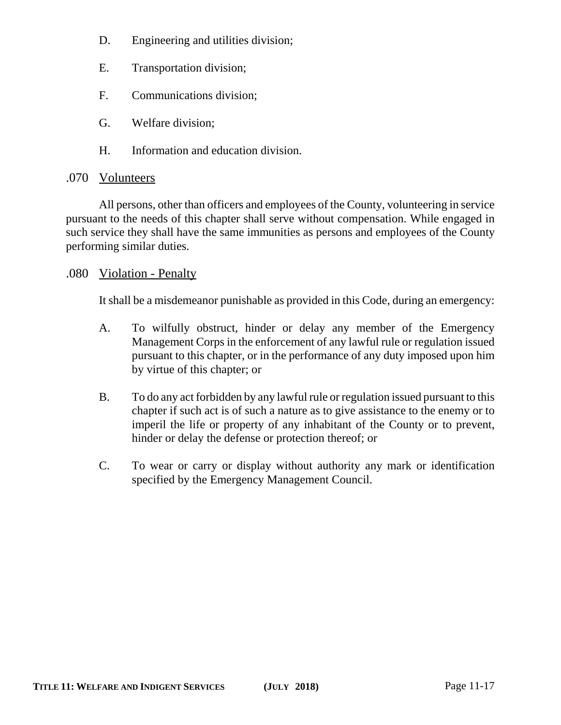- D. Engineering and utilities division;
- E. Transportation division;
- F. Communications division;
- G. Welfare division;
- H. Information and education division.

## .070 Volunteers

All persons, other than officers and employees of the County, volunteering in service pursuant to the needs of this chapter shall serve without compensation. While engaged in such service they shall have the same immunities as persons and employees of the County performing similar duties.

## .080 Violation - Penalty

It shall be a misdemeanor punishable as provided in this Code, during an emergency:

- A. To wilfully obstruct, hinder or delay any member of the Emergency Management Corps in the enforcement of any lawful rule or regulation issued pursuant to this chapter, or in the performance of any duty imposed upon him by virtue of this chapter; or
- B. To do any act forbidden by any lawful rule or regulation issued pursuant to this chapter if such act is of such a nature as to give assistance to the enemy or to imperil the life or property of any inhabitant of the County or to prevent, hinder or delay the defense or protection thereof; or
- C. To wear or carry or display without authority any mark or identification specified by the Emergency Management Council.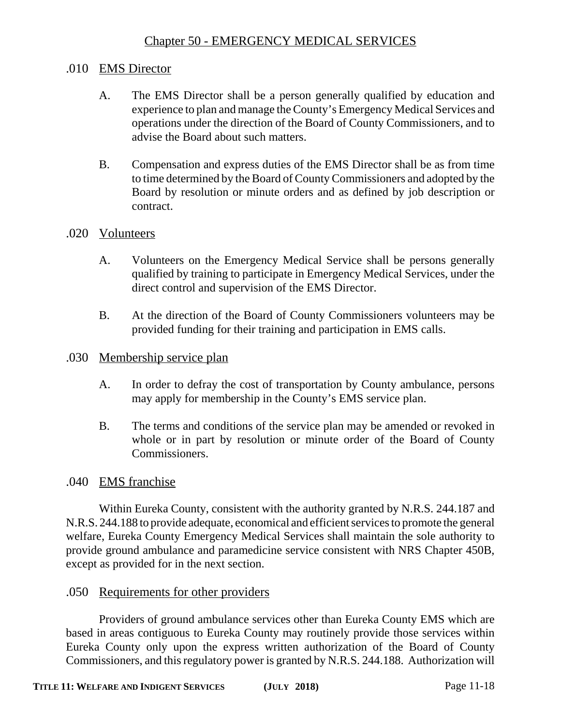## Chapter 50 - EMERGENCY MEDICAL SERVICES

### .010 EMS Director

- A. The EMS Director shall be a person generally qualified by education and experience to plan and manage the County's Emergency Medical Services and operations under the direction of the Board of County Commissioners, and to advise the Board about such matters.
- B. Compensation and express duties of the EMS Director shall be as from time to time determined by the Board of County Commissioners and adopted by the Board by resolution or minute orders and as defined by job description or contract.

#### .020 Volunteers

- A. Volunteers on the Emergency Medical Service shall be persons generally qualified by training to participate in Emergency Medical Services, under the direct control and supervision of the EMS Director.
- B. At the direction of the Board of County Commissioners volunteers may be provided funding for their training and participation in EMS calls.

#### .030 Membership service plan

- A. In order to defray the cost of transportation by County ambulance, persons may apply for membership in the County's EMS service plan.
- B. The terms and conditions of the service plan may be amended or revoked in whole or in part by resolution or minute order of the Board of County Commissioners.

#### .040 EMS franchise

Within Eureka County, consistent with the authority granted by N.R.S. 244.187 and N.R.S. 244.188 to provide adequate, economical and efficient services to promote the general welfare, Eureka County Emergency Medical Services shall maintain the sole authority to provide ground ambulance and paramedicine service consistent with NRS Chapter 450B, except as provided for in the next section.

#### .050 Requirements for other providers

Providers of ground ambulance services other than Eureka County EMS which are based in areas contiguous to Eureka County may routinely provide those services within Eureka County only upon the express written authorization of the Board of County Commissioners, and this regulatory power is granted by N.R.S. 244.188. Authorization will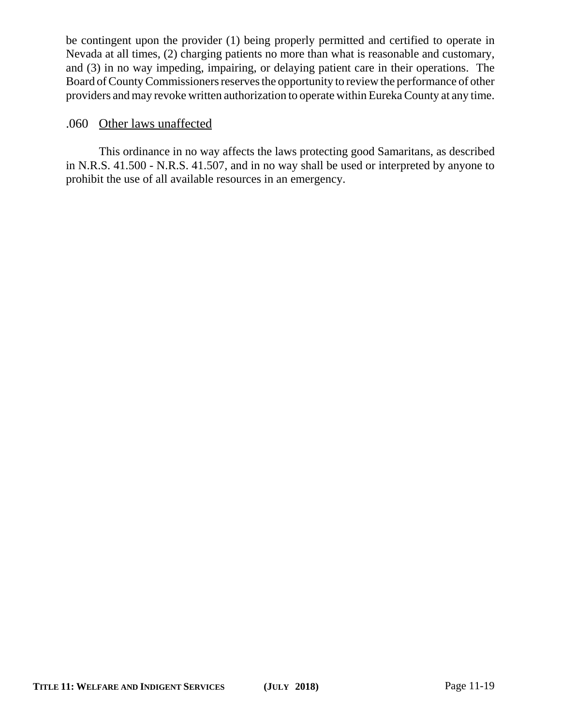be contingent upon the provider (1) being properly permitted and certified to operate in Nevada at all times, (2) charging patients no more than what is reasonable and customary, and (3) in no way impeding, impairing, or delaying patient care in their operations. The Board of County Commissioners reserves the opportunity to review the performance of other providers and may revoke written authorization to operate within Eureka County at any time.

# .060 Other laws unaffected

This ordinance in no way affects the laws protecting good Samaritans, as described in N.R.S. 41.500 - N.R.S. 41.507, and in no way shall be used or interpreted by anyone to prohibit the use of all available resources in an emergency.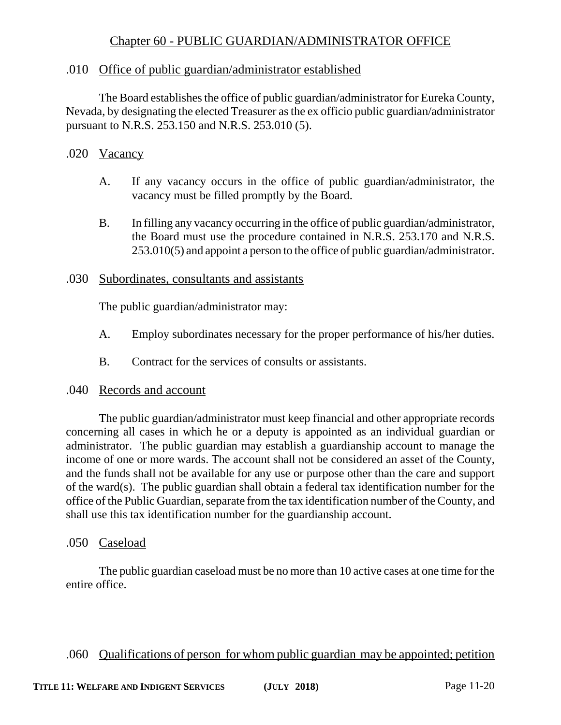## Chapter 60 - PUBLIC GUARDIAN/ADMINISTRATOR OFFICE

## .010 Office of public guardian/administrator established

The Board establishes the office of public guardian/administrator for Eureka County, Nevada, by designating the elected Treasurer as the ex officio public guardian/administrator pursuant to N.R.S. 253.150 and N.R.S. 253.010 (5).

### .020 Vacancy

- A. If any vacancy occurs in the office of public guardian/administrator, the vacancy must be filled promptly by the Board.
- B. In filling any vacancy occurring in the office of public guardian/administrator, the Board must use the procedure contained in N.R.S. 253.170 and N.R.S. 253.010(5) and appoint a person to the office of public guardian/administrator.

### .030 Subordinates, consultants and assistants

The public guardian/administrator may:

- A. Employ subordinates necessary for the proper performance of his/her duties.
- B. Contract for the services of consults or assistants.

#### .040 Records and account

The public guardian/administrator must keep financial and other appropriate records concerning all cases in which he or a deputy is appointed as an individual guardian or administrator. The public guardian may establish a guardianship account to manage the income of one or more wards. The account shall not be considered an asset of the County, and the funds shall not be available for any use or purpose other than the care and support of the ward(s). The public guardian shall obtain a federal tax identification number for the office of the Public Guardian, separate from the tax identification number of the County, and shall use this tax identification number for the guardianship account.

.050 Caseload

The public guardian caseload must be no more than 10 active cases at one time for the entire office.

## .060 Qualifications of person for whom public guardian may be appointed; petition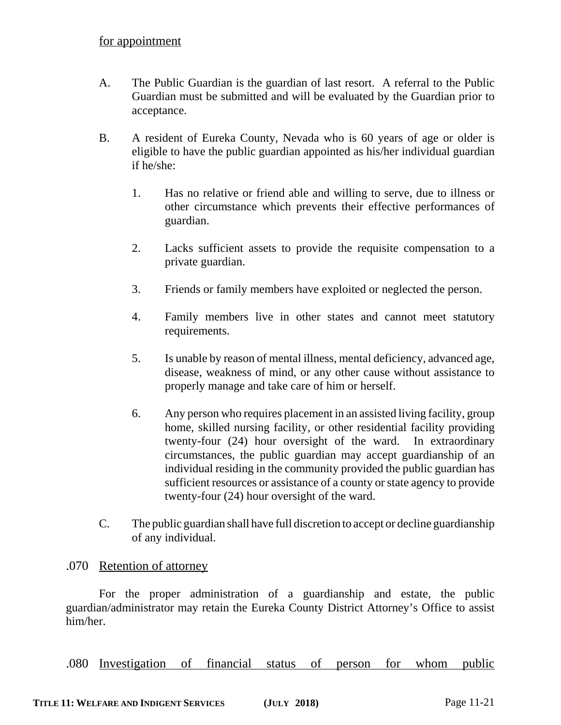- A. The Public Guardian is the guardian of last resort. A referral to the Public Guardian must be submitted and will be evaluated by the Guardian prior to acceptance.
- B. A resident of Eureka County, Nevada who is 60 years of age or older is eligible to have the public guardian appointed as his/her individual guardian if he/she:
	- 1. Has no relative or friend able and willing to serve, due to illness or other circumstance which prevents their effective performances of guardian.
	- 2. Lacks sufficient assets to provide the requisite compensation to a private guardian.
	- 3. Friends or family members have exploited or neglected the person.
	- 4. Family members live in other states and cannot meet statutory requirements.
	- 5. Is unable by reason of mental illness, mental deficiency, advanced age, disease, weakness of mind, or any other cause without assistance to properly manage and take care of him or herself.
	- 6. Any person who requires placement in an assisted living facility, group home, skilled nursing facility, or other residential facility providing twenty-four (24) hour oversight of the ward. In extraordinary circumstances, the public guardian may accept guardianship of an individual residing in the community provided the public guardian has sufficient resources or assistance of a county or state agency to provide twenty-four (24) hour oversight of the ward.
- C. The public guardian shall have full discretion to accept or decline guardianship of any individual.

## .070 Retention of attorney

For the proper administration of a guardianship and estate, the public guardian/administrator may retain the Eureka County District Attorney's Office to assist him/her.

.080 Investigation of financial status of person for whom public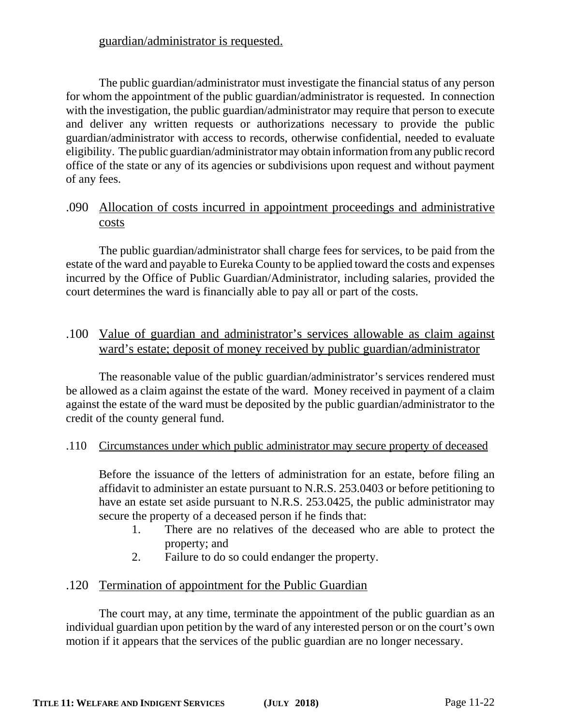## guardian/administrator is requested.

The public guardian/administrator must investigate the financial status of any person for whom the appointment of the public guardian/administrator is requested. In connection with the investigation, the public guardian/administrator may require that person to execute and deliver any written requests or authorizations necessary to provide the public guardian/administrator with access to records, otherwise confidential, needed to evaluate eligibility. The public guardian/administrator may obtain information from any public record office of the state or any of its agencies or subdivisions upon request and without payment of any fees.

## .090 Allocation of costs incurred in appointment proceedings and administrative costs

The public guardian/administrator shall charge fees for services, to be paid from the estate of the ward and payable to Eureka County to be applied toward the costs and expenses incurred by the Office of Public Guardian/Administrator, including salaries, provided the court determines the ward is financially able to pay all or part of the costs.

.100 Value of guardian and administrator's services allowable as claim against ward's estate; deposit of money received by public guardian/administrator

The reasonable value of the public guardian/administrator's services rendered must be allowed as a claim against the estate of the ward. Money received in payment of a claim against the estate of the ward must be deposited by the public guardian/administrator to the credit of the county general fund.

## .110 Circumstances under which public administrator may secure property of deceased

Before the issuance of the letters of administration for an estate, before filing an affidavit to administer an estate pursuant to N.R.S. 253.0403 or before petitioning to have an estate set aside pursuant to N.R.S. 253.0425, the public administrator may secure the property of a deceased person if he finds that:

- 1. There are no relatives of the deceased who are able to protect the property; and
- 2. Failure to do so could endanger the property.

## .120 Termination of appointment for the Public Guardian

The court may, at any time, terminate the appointment of the public guardian as an individual guardian upon petition by the ward of any interested person or on the court's own motion if it appears that the services of the public guardian are no longer necessary.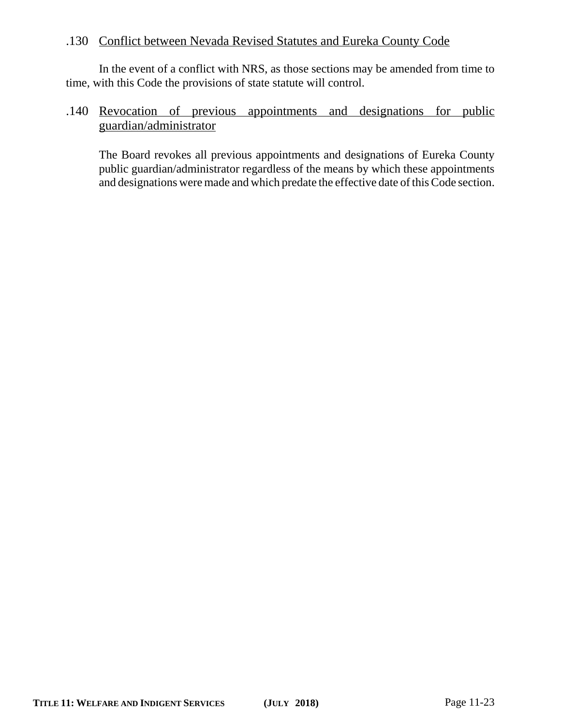## .130 Conflict between Nevada Revised Statutes and Eureka County Code

In the event of a conflict with NRS, as those sections may be amended from time to time, with this Code the provisions of state statute will control.

## .140 Revocation of previous appointments and designations for public guardian/administrator

The Board revokes all previous appointments and designations of Eureka County public guardian/administrator regardless of the means by which these appointments and designations were made and which predate the effective date of this Code section.